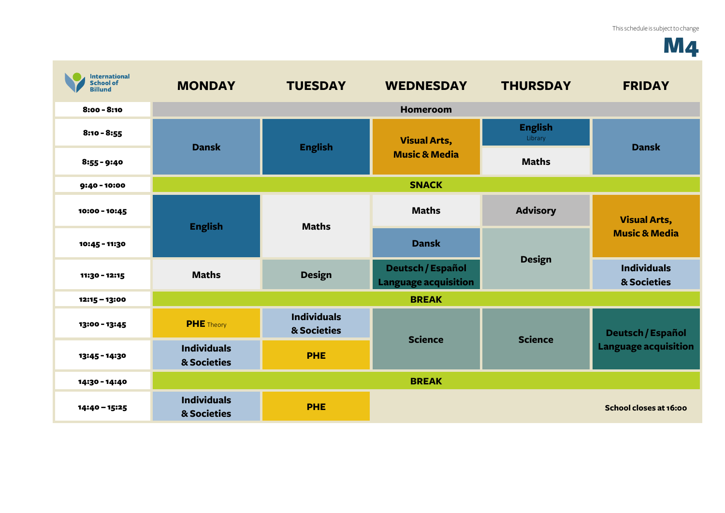## **M4**

| <b>International</b><br><b>School of</b><br><b>Billund</b> | <b>MONDAY</b>                     | <b>TUESDAY</b>                    | <b>WEDNESDAY</b>                                 | <b>THURSDAY</b>           | <b>FRIDAY</b>                                           |
|------------------------------------------------------------|-----------------------------------|-----------------------------------|--------------------------------------------------|---------------------------|---------------------------------------------------------|
| $8:00 - 8:10$                                              |                                   |                                   | <b>Homeroom</b>                                  |                           |                                                         |
| $8:10 - 8:55$                                              | <b>Dansk</b>                      | <b>English</b>                    | <b>Visual Arts,</b><br><b>Music &amp; Media</b>  | <b>English</b><br>Library | <b>Dansk</b>                                            |
| $8:55 - 9:40$                                              |                                   |                                   |                                                  | <b>Maths</b>              |                                                         |
| $9:40 - 10:00$                                             | <b>SNACK</b>                      |                                   |                                                  |                           |                                                         |
| 10:00 - 10:45                                              | <b>English</b>                    | <b>Maths</b>                      | <b>Maths</b>                                     | <b>Advisory</b>           | <b>Visual Arts,</b>                                     |
| 10:45 - 11:30                                              |                                   |                                   | <b>Dansk</b>                                     | <b>Design</b>             | <b>Music &amp; Media</b>                                |
| 11:30 - 12:15                                              | <b>Maths</b>                      | <b>Design</b>                     | Deutsch / Español<br><b>Language acquisition</b> |                           | <b>Individuals</b><br>& Societies                       |
| $12:15 - 13:00$                                            |                                   |                                   | <b>BREAK</b>                                     |                           |                                                         |
| 13:00 - 13:45                                              | <b>PHE</b> Theory                 | <b>Individuals</b><br>& Societies | <b>Science</b>                                   | <b>Science</b>            | <b>Deutsch / Español</b><br><b>Language acquisition</b> |
| 13:45 - 14:30                                              | <b>Individuals</b><br>& Societies | <b>PHE</b>                        |                                                  |                           |                                                         |
| 14:30 - 14:40                                              |                                   |                                   | <b>BREAK</b>                                     |                           |                                                         |
| 14:40 - 15:25                                              | <b>Individuals</b><br>& Societies | <b>PHE</b>                        |                                                  |                           | School closes at 16:00                                  |